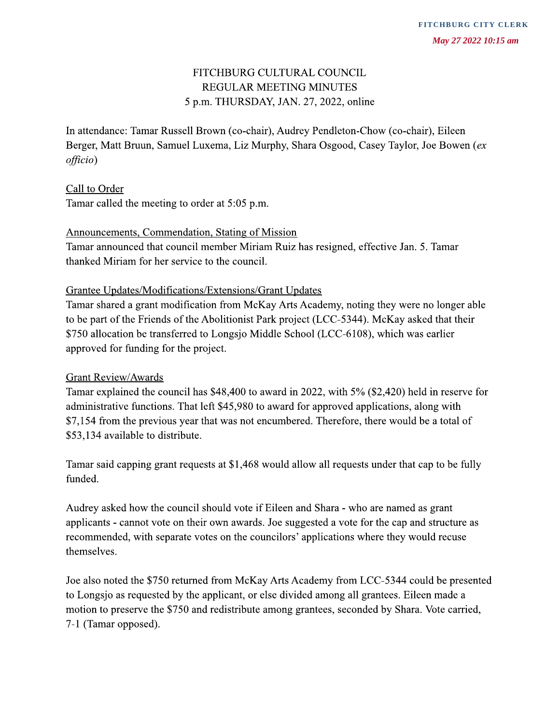# FITCHBURG CULTURAL COUNCIL **REGULAR MEETING MINUTES** 5 p.m. THURSDAY, JAN. 27, 2022, online

In attendance: Tamar Russell Brown (co-chair), Audrey Pendleton-Chow (co-chair), Eileen Berger, Matt Bruun, Samuel Luxema, Liz Murphy, Shara Osgood, Casey Taylor, Joe Bowen (ex  $of\hat{f}icio$ )

## Call to Order

Tamar called the meeting to order at 5:05 p.m.

#### Announcements, Commendation, Stating of Mission

Tamar announced that council member Miriam Ruiz has resigned, effective Jan. 5. Tamar thanked Miriam for her service to the council.

#### **Grantee Updates/Modifications/Extensions/Grant Updates**

Tamar shared a grant modification from McKay Arts Academy, noting they were no longer able to be part of the Friends of the Abolitionist Park project (LCC-5344). McKay asked that their \$750 allocation be transferred to Longsjo Middle School (LCC-6108), which was earlier approved for funding for the project.

#### **Grant Review/Awards**

Tamar explained the council has \$48,400 to award in 2022, with 5% (\$2,420) held in reserve for administrative functions. That left \$45,980 to award for approved applications, along with \$7,154 from the previous year that was not encumbered. Therefore, there would be a total of \$53,134 available to distribute.

Tamar said capping grant requests at \$1,468 would allow all requests under that cap to be fully funded.

Audrey asked how the council should vote if Eileen and Shara - who are named as grant applicants - cannot vote on their own awards. Joe suggested a vote for the cap and structure as recommended, with separate votes on the councilors' applications where they would recuse themselves.

Joe also noted the \$750 returned from McKay Arts Academy from LCC-5344 could be presented to Longsjo as requested by the applicant, or else divided among all grantees. Eileen made a motion to preserve the \$750 and redistribute among grantees, seconded by Shara. Vote carried, 7-1 (Tamar opposed).